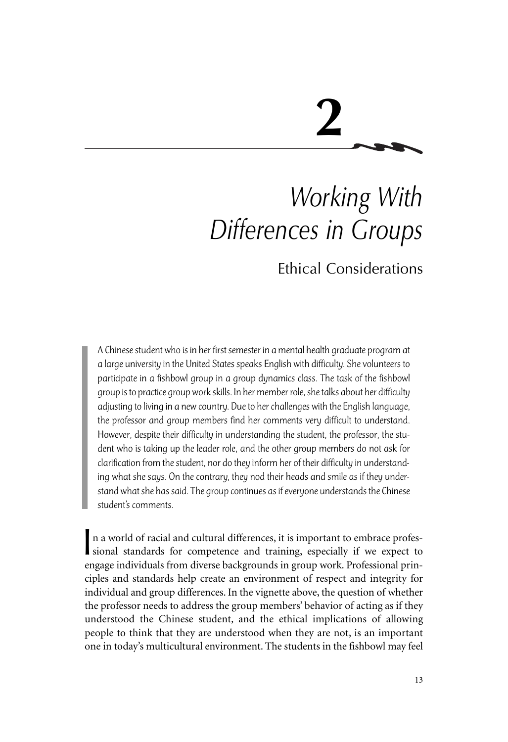# **2**

# *Working With Differences in Groups*

# Ethical Considerations

A Chinese student who is in her first semester in a mental health graduate program at a large university in the United States speaks English with difficulty. Shevolunteers to participate in a fishbowl group in a group dynamics class. The task of the fishbowl group is to practice group work skills. In her member role, she talks about her difficulty adjusting to living in a new country. Due to her challenges with the English language, the professor and group members find her comments very difficult to understand. However, despite their difficulty in understanding the student, the professor, the student who is taking up the leader role, and the other group members do not ask for clarification from the student, nor do they inform her of their difficulty in understanding what she says. On the contrary, they nod their heads and smile as if they understand what she has said. The group continues as if everyone understands the Chinese student's comments.

In a world of racial and cultural differences, it is important to embrace profes-<br>sional standards for competence and training, especially if we expect to<br>process individuals from diverse backgrounds in group you<sup>l</sup>s. Prof n a world of racial and cultural differences, it is important to embrace profesengage individuals from diverse backgrounds in group work. Professional principles and standards help create an environment of respect and integrity for individual and group differences. In the vignette above, the question of whether the professor needs to address the group members' behavior of acting as if they understood the Chinese student, and the ethical implications of allowing people to think that they are understood when they are not, is an important one in today's multicultural environment. The students in the fishbowl may feel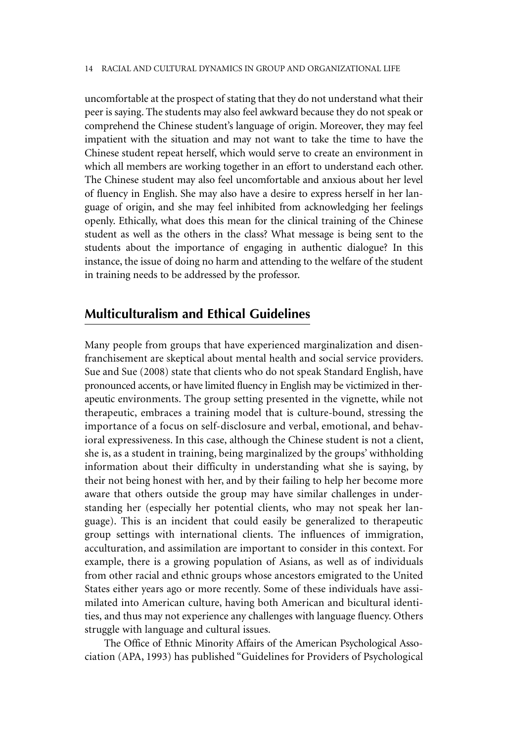uncomfortable at the prospect of stating that they do not understand what their peer is saying. The students may also feel awkward because they do not speak or comprehend the Chinese student's language of origin. Moreover, they may feel impatient with the situation and may not want to take the time to have the Chinese student repeat herself, which would serve to create an environment in which all members are working together in an effort to understand each other. The Chinese student may also feel uncomfortable and anxious about her level of fluency in English. She may also have a desire to express herself in her language of origin, and she may feel inhibited from acknowledging her feelings openly. Ethically, what does this mean for the clinical training of the Chinese student as well as the others in the class? What message is being sent to the students about the importance of engaging in authentic dialogue? In this instance, the issue of doing no harm and attending to the welfare of the student in training needs to be addressed by the professor.

# **Multiculturalism and Ethical Guidelines**

Many people from groups that have experienced marginalization and disenfranchisement are skeptical about mental health and social service providers. Sue and Sue (2008) state that clients who do not speak Standard English, have pronounced accents, or have limited fluency in English may be victimized in therapeutic environments. The group setting presented in the vignette, while not therapeutic, embraces a training model that is culture-bound, stressing the importance of a focus on self-disclosure and verbal, emotional, and behavioral expressiveness. In this case, although the Chinese student is not a client, she is, as a student in training, being marginalized by the groups' withholding information about their difficulty in understanding what she is saying, by their not being honest with her, and by their failing to help her become more aware that others outside the group may have similar challenges in understanding her (especially her potential clients, who may not speak her language). This is an incident that could easily be generalized to therapeutic group settings with international clients. The influences of immigration, acculturation, and assimilation are important to consider in this context. For example, there is a growing population of Asians, as well as of individuals from other racial and ethnic groups whose ancestors emigrated to the United States either years ago or more recently. Some of these individuals have assimilated into American culture, having both American and bicultural identities, and thus may not experience any challenges with language fluency. Others struggle with language and cultural issues.

The Office of Ethnic Minority Affairs of the American Psychological Association (APA, 1993) has published "Guidelines for Providers of Psychological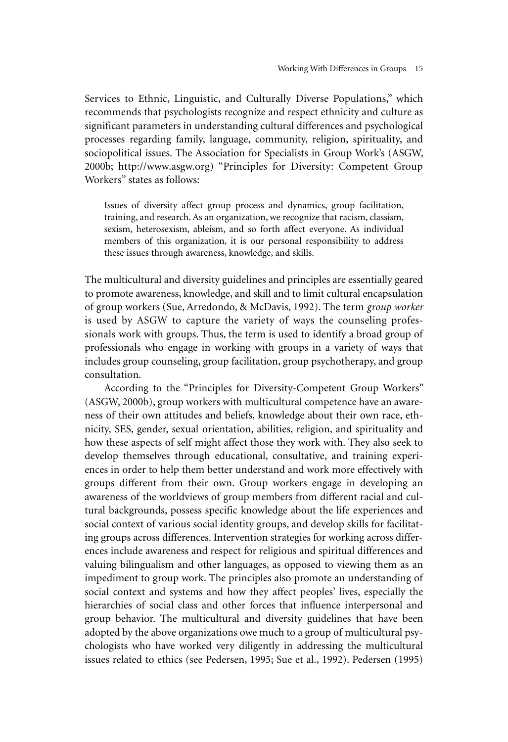Services to Ethnic, Linguistic, and Culturally Diverse Populations," which recommends that psychologists recognize and respect ethnicity and culture as significant parameters in understanding cultural differences and psychological processes regarding family, language, community, religion, spirituality, and sociopolitical issues. The Association for Specialists in Group Work's (ASGW, 2000b; http://www.asgw.org) "Principles for Diversity: Competent Group Workers" states as follows:

Issues of diversity affect group process and dynamics, group facilitation, training, and research. As an organization, we recognize that racism, classism, sexism, heterosexism, ableism, and so forth affect everyone. As individual members of this organization, it is our personal responsibility to address these issues through awareness, knowledge, and skills.

The multicultural and diversity guidelines and principles are essentially geared to promote awareness, knowledge, and skill and to limit cultural encapsulation of group workers (Sue, Arredondo, & McDavis, 1992). The term *group worker* is used by ASGW to capture the variety of ways the counseling professionals work with groups. Thus, the term is used to identify a broad group of professionals who engage in working with groups in a variety of ways that includes group counseling, group facilitation, group psychotherapy, and group consultation.

According to the "Principles for Diversity-Competent Group Workers" (ASGW, 2000b), group workers with multicultural competence have an awareness of their own attitudes and beliefs, knowledge about their own race, ethnicity, SES, gender, sexual orientation, abilities, religion, and spirituality and how these aspects of self might affect those they work with. They also seek to develop themselves through educational, consultative, and training experiences in order to help them better understand and work more effectively with groups different from their own. Group workers engage in developing an awareness of the worldviews of group members from different racial and cultural backgrounds, possess specific knowledge about the life experiences and social context of various social identity groups, and develop skills for facilitating groups across differences. Intervention strategies for working across differences include awareness and respect for religious and spiritual differences and valuing bilingualism and other languages, as opposed to viewing them as an impediment to group work. The principles also promote an understanding of social context and systems and how they affect peoples' lives, especially the hierarchies of social class and other forces that influence interpersonal and group behavior. The multicultural and diversity guidelines that have been adopted by the above organizations owe much to a group of multicultural psychologists who have worked very diligently in addressing the multicultural issues related to ethics (see Pedersen, 1995; Sue et al., 1992). Pedersen (1995)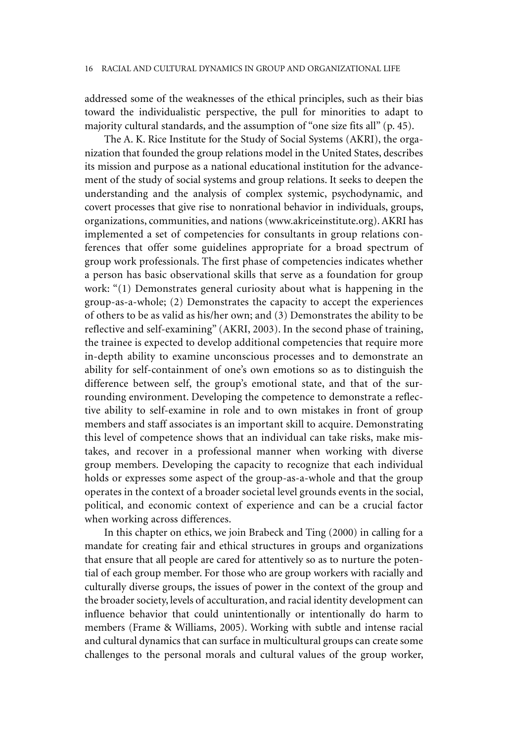#### 16—RACIAL AND CULTURAL DYNAMICS IN GROUP AND ORGANIZATIONAL LIFE

addressed some of the weaknesses of the ethical principles, such as their bias toward the individualistic perspective, the pull for minorities to adapt to majority cultural standards, and the assumption of "one size fits all" (p. 45).

The A. K. Rice Institute for the Study of Social Systems (AKRI), the organization that founded the group relations model in the United States, describes its mission and purpose as a national educational institution for the advancement of the study of social systems and group relations. It seeks to deepen the understanding and the analysis of complex systemic, psychodynamic, and covert processes that give rise to nonrational behavior in individuals, groups, organizations, communities, and nations (www.akriceinstitute.org).AKRI has implemented a set of competencies for consultants in group relations conferences that offer some guidelines appropriate for a broad spectrum of group work professionals. The first phase of competencies indicates whether a person has basic observational skills that serve as a foundation for group work: "(1) Demonstrates general curiosity about what is happening in the group-as-a-whole; (2) Demonstrates the capacity to accept the experiences of others to be as valid as his/her own; and (3) Demonstrates the ability to be reflective and self-examining" (AKRI, 2003). In the second phase of training, the trainee is expected to develop additional competencies that require more in-depth ability to examine unconscious processes and to demonstrate an ability for self-containment of one's own emotions so as to distinguish the difference between self, the group's emotional state, and that of the surrounding environment. Developing the competence to demonstrate a reflective ability to self-examine in role and to own mistakes in front of group members and staff associates is an important skill to acquire. Demonstrating this level of competence shows that an individual can take risks, make mistakes, and recover in a professional manner when working with diverse group members. Developing the capacity to recognize that each individual holds or expresses some aspect of the group-as-a-whole and that the group operates in the context of a broader societal level grounds events in the social, political, and economic context of experience and can be a crucial factor when working across differences.

In this chapter on ethics, we join Brabeck and Ting (2000) in calling for a mandate for creating fair and ethical structures in groups and organizations that ensure that all people are cared for attentively so as to nurture the potential of each group member. For those who are group workers with racially and culturally diverse groups, the issues of power in the context of the group and the broader society, levels of acculturation, and racial identity development can influence behavior that could unintentionally or intentionally do harm to members (Frame & Williams, 2005). Working with subtle and intense racial and cultural dynamics that can surface in multicultural groups can create some challenges to the personal morals and cultural values of the group worker,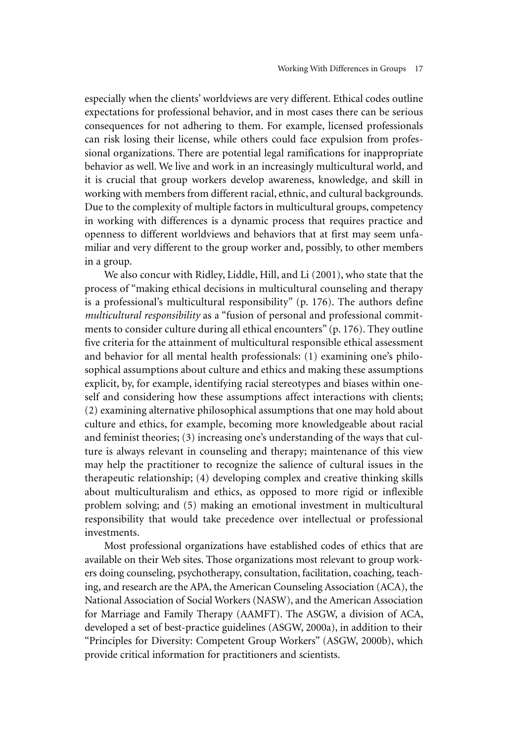especially when the clients' worldviews are very different. Ethical codes outline expectations for professional behavior, and in most cases there can be serious consequences for not adhering to them. For example, licensed professionals can risk losing their license, while others could face expulsion from professional organizations. There are potential legal ramifications for inappropriate behavior as well. We live and work in an increasingly multicultural world, and it is crucial that group workers develop awareness, knowledge, and skill in working with members from different racial, ethnic, and cultural backgrounds. Due to the complexity of multiple factors in multicultural groups, competency in working with differences is a dynamic process that requires practice and openness to different worldviews and behaviors that at first may seem unfamiliar and very different to the group worker and, possibly, to other members in a group.

We also concur with Ridley, Liddle, Hill, and Li (2001), who state that the process of "making ethical decisions in multicultural counseling and therapy is a professional's multicultural responsibility" (p. 176). The authors define *multicultural responsibility* as a "fusion of personal and professional commitments to consider culture during all ethical encounters" (p. 176). They outline five criteria for the attainment of multicultural responsible ethical assessment and behavior for all mental health professionals: (1) examining one's philosophical assumptions about culture and ethics and making these assumptions explicit, by, for example, identifying racial stereotypes and biases within oneself and considering how these assumptions affect interactions with clients; (2) examining alternative philosophical assumptions that one may hold about culture and ethics, for example, becoming more knowledgeable about racial and feminist theories; (3) increasing one's understanding of the ways that culture is always relevant in counseling and therapy; maintenance of this view may help the practitioner to recognize the salience of cultural issues in the therapeutic relationship; (4) developing complex and creative thinking skills about multiculturalism and ethics, as opposed to more rigid or inflexible problem solving; and (5) making an emotional investment in multicultural responsibility that would take precedence over intellectual or professional investments.

Most professional organizations have established codes of ethics that are available on their Web sites. Those organizations most relevant to group workers doing counseling, psychotherapy, consultation, facilitation, coaching, teaching, and research are the APA, the American Counseling Association (ACA), the National Association of Social Workers (NASW), and the American Association for Marriage and Family Therapy (AAMFT). The ASGW, a division of ACA, developed a set of best-practice guidelines (ASGW, 2000a), in addition to their "Principles for Diversity: Competent Group Workers" (ASGW, 2000b), which provide critical information for practitioners and scientists.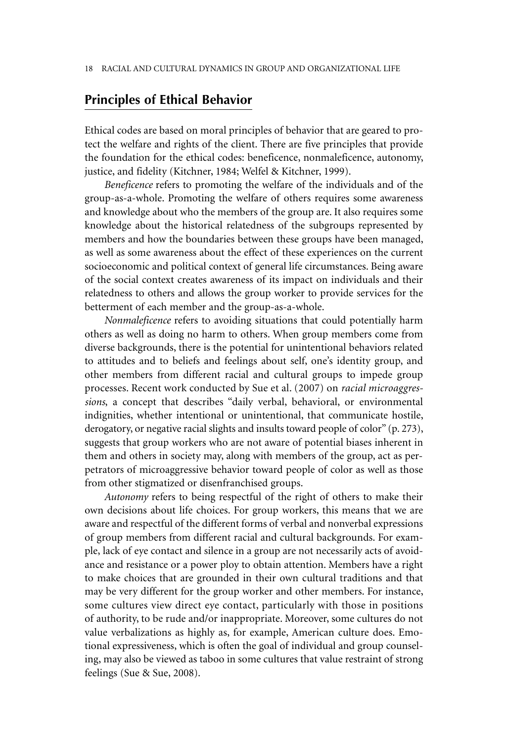# **Principles of Ethical Behavior**

Ethical codes are based on moral principles of behavior that are geared to protect the welfare and rights of the client. There are five principles that provide the foundation for the ethical codes: beneficence, nonmaleficence, autonomy, justice, and fidelity (Kitchner, 1984; Welfel & Kitchner, 1999).

*Beneficence* refers to promoting the welfare of the individuals and of the group-as-a-whole. Promoting the welfare of others requires some awareness and knowledge about who the members of the group are. It also requires some knowledge about the historical relatedness of the subgroups represented by members and how the boundaries between these groups have been managed, as well as some awareness about the effect of these experiences on the current socioeconomic and political context of general life circumstances. Being aware of the social context creates awareness of its impact on individuals and their relatedness to others and allows the group worker to provide services for the betterment of each member and the group-as-a-whole.

*Nonmaleficence* refers to avoiding situations that could potentially harm others as well as doing no harm to others. When group members come from diverse backgrounds, there is the potential for unintentional behaviors related to attitudes and to beliefs and feelings about self, one's identity group, and other members from different racial and cultural groups to impede group processes. Recent work conducted by Sue et al. (2007) on *racial microaggressions*, a concept that describes "daily verbal, behavioral, or environmental indignities, whether intentional or unintentional, that communicate hostile, derogatory, or negative racial slights and insults toward people of color" (p. 273), suggests that group workers who are not aware of potential biases inherent in them and others in society may, along with members of the group, act as perpetrators of microaggressive behavior toward people of color as well as those from other stigmatized or disenfranchised groups.

*Autonomy* refers to being respectful of the right of others to make their own decisions about life choices. For group workers, this means that we are aware and respectful of the different forms of verbal and nonverbal expressions of group members from different racial and cultural backgrounds. For example, lack of eye contact and silence in a group are not necessarily acts of avoidance and resistance or a power ploy to obtain attention. Members have a right to make choices that are grounded in their own cultural traditions and that may be very different for the group worker and other members. For instance, some cultures view direct eye contact, particularly with those in positions of authority, to be rude and/or inappropriate. Moreover, some cultures do not value verbalizations as highly as, for example, American culture does. Emotional expressiveness, which is often the goal of individual and group counseling, may also be viewed as taboo in some cultures that value restraint of strong feelings (Sue & Sue, 2008).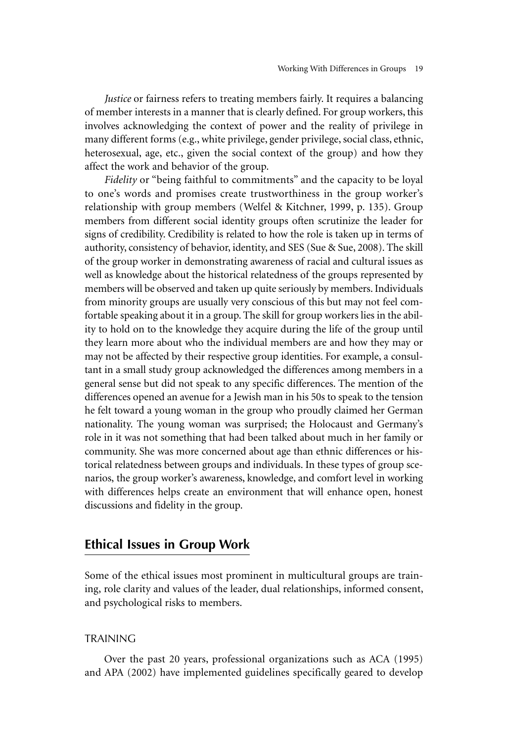*Justice* or fairness refers to treating members fairly. It requires a balancing of member interests in a manner that is clearly defined. For group workers, this involves acknowledging the context of power and the reality of privilege in many different forms (e.g., white privilege, gender privilege, social class, ethnic, heterosexual, age, etc., given the social context of the group) and how they affect the work and behavior of the group.

*Fidelity* or "being faithful to commitments" and the capacity to be loyal to one's words and promises create trustworthiness in the group worker's relationship with group members (Welfel & Kitchner, 1999, p. 135). Group members from different social identity groups often scrutinize the leader for signs of credibility. Credibility is related to how the role is taken up in terms of authority, consistency of behavior, identity, and SES (Sue & Sue, 2008). The skill of the group worker in demonstrating awareness of racial and cultural issues as well as knowledge about the historical relatedness of the groups represented by members will be observed and taken up quite seriously by members. Individuals from minority groups are usually very conscious of this but may not feel comfortable speaking about it in a group. The skill for group workers lies in the ability to hold on to the knowledge they acquire during the life of the group until they learn more about who the individual members are and how they may or may not be affected by their respective group identities. For example, a consultant in a small study group acknowledged the differences among members in a general sense but did not speak to any specific differences. The mention of the differences opened an avenue for a Jewish man in his 50s to speak to the tension he felt toward a young woman in the group who proudly claimed her German nationality. The young woman was surprised; the Holocaust and Germany's role in it was not something that had been talked about much in her family or community. She was more concerned about age than ethnic differences or historical relatedness between groups and individuals. In these types of group scenarios, the group worker's awareness, knowledge, and comfort level in working with differences helps create an environment that will enhance open, honest discussions and fidelity in the group.

# **Ethical Issues in Group Work**

Some of the ethical issues most prominent in multicultural groups are training, role clarity and values of the leader, dual relationships, informed consent, and psychological risks to members.

#### TRAINING

Over the past 20 years, professional organizations such as ACA (1995) and APA (2002) have implemented guidelines specifically geared to develop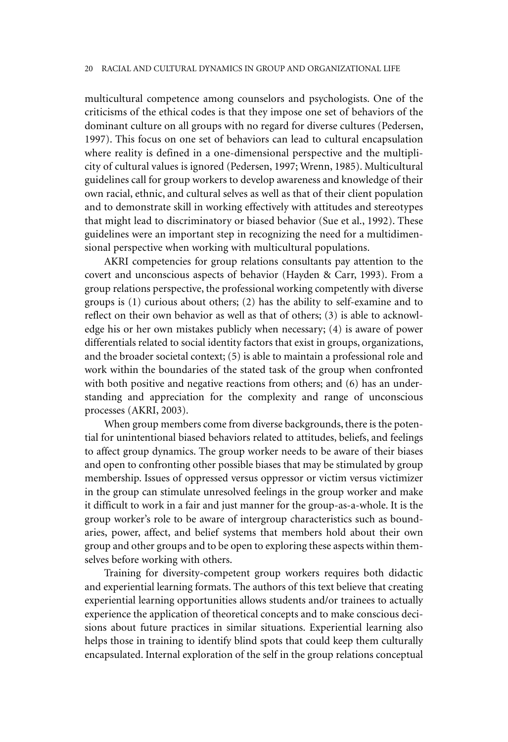multicultural competence among counselors and psychologists. One of the criticisms of the ethical codes is that they impose one set of behaviors of the dominant culture on all groups with no regard for diverse cultures (Pedersen, 1997). This focus on one set of behaviors can lead to cultural encapsulation where reality is defined in a one-dimensional perspective and the multiplicity of cultural values is ignored (Pedersen, 1997; Wrenn, 1985). Multicultural guidelines call for group workers to develop awareness and knowledge of their own racial, ethnic, and cultural selves as well as that of their client population and to demonstrate skill in working effectively with attitudes and stereotypes that might lead to discriminatory or biased behavior (Sue et al., 1992). These guidelines were an important step in recognizing the need for a multidimensional perspective when working with multicultural populations.

AKRI competencies for group relations consultants pay attention to the covert and unconscious aspects of behavior (Hayden & Carr, 1993). From a group relations perspective, the professional working competently with diverse groups is (1) curious about others; (2) has the ability to self-examine and to reflect on their own behavior as well as that of others; (3) is able to acknowledge his or her own mistakes publicly when necessary; (4) is aware of power differentials related to social identity factors that exist in groups, organizations, and the broader societal context; (5) is able to maintain a professional role and work within the boundaries of the stated task of the group when confronted with both positive and negative reactions from others; and (6) has an understanding and appreciation for the complexity and range of unconscious processes (AKRI, 2003).

When group members come from diverse backgrounds, there is the potential for unintentional biased behaviors related to attitudes, beliefs, and feelings to affect group dynamics. The group worker needs to be aware of their biases and open to confronting other possible biases that may be stimulated by group membership. Issues of oppressed versus oppressor or victim versus victimizer in the group can stimulate unresolved feelings in the group worker and make it difficult to work in a fair and just manner for the group-as-a-whole. It is the group worker's role to be aware of intergroup characteristics such as boundaries, power, affect, and belief systems that members hold about their own group and other groups and to be open to exploring these aspects within themselves before working with others.

Training for diversity-competent group workers requires both didactic and experiential learning formats. The authors of this text believe that creating experiential learning opportunities allows students and/or trainees to actually experience the application of theoretical concepts and to make conscious decisions about future practices in similar situations. Experiential learning also helps those in training to identify blind spots that could keep them culturally encapsulated. Internal exploration of the self in the group relations conceptual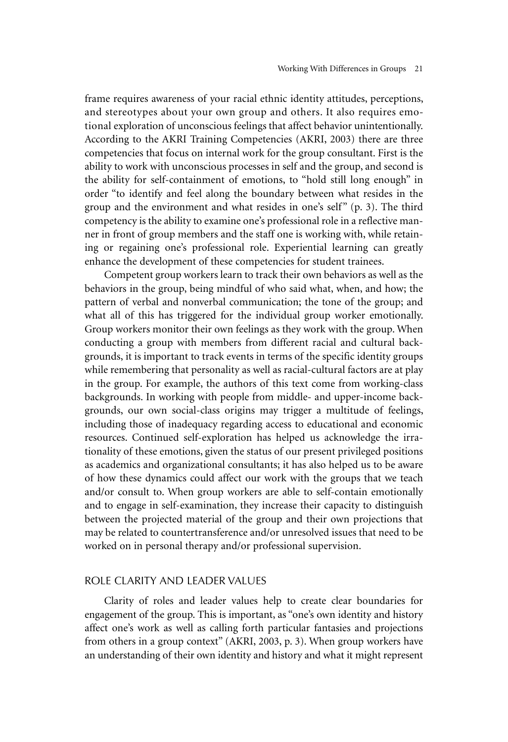frame requires awareness of your racial ethnic identity attitudes, perceptions, and stereotypes about your own group and others. It also requires emotional exploration of unconscious feelings that affect behavior unintentionally. According to the AKRI Training Competencies (AKRI, 2003) there are three competencies that focus on internal work for the group consultant. First is the ability to work with unconscious processes in self and the group, and second is the ability for self-containment of emotions, to "hold still long enough" in order "to identify and feel along the boundary between what resides in the group and the environment and what resides in one's self" (p. 3). The third competency is the ability to examine one's professional role in a reflective manner in front of group members and the staff one is working with, while retaining or regaining one's professional role. Experiential learning can greatly enhance the development of these competencies for student trainees.

Competent group workers learn to track their own behaviors as well as the behaviors in the group, being mindful of who said what, when, and how; the pattern of verbal and nonverbal communication; the tone of the group; and what all of this has triggered for the individual group worker emotionally. Group workers monitor their own feelings as they work with the group. When conducting a group with members from different racial and cultural backgrounds, it is important to track events in terms of the specific identity groups while remembering that personality as well as racial-cultural factors are at play in the group. For example, the authors of this text come from working-class backgrounds. In working with people from middle- and upper-income backgrounds, our own social-class origins may trigger a multitude of feelings, including those of inadequacy regarding access to educational and economic resources. Continued self-exploration has helped us acknowledge the irrationality of these emotions, given the status of our present privileged positions as academics and organizational consultants; it has also helped us to be aware of how these dynamics could affect our work with the groups that we teach and/or consult to. When group workers are able to self-contain emotionally and to engage in self-examination, they increase their capacity to distinguish between the projected material of the group and their own projections that may be related to countertransference and/or unresolved issues that need to be worked on in personal therapy and/or professional supervision.

#### ROLE CLARITY AND LEADER VALUES

Clarity of roles and leader values help to create clear boundaries for engagement of the group. This is important, as "one's own identity and history affect one's work as well as calling forth particular fantasies and projections from others in a group context" (AKRI, 2003, p. 3). When group workers have an understanding of their own identity and history and what it might represent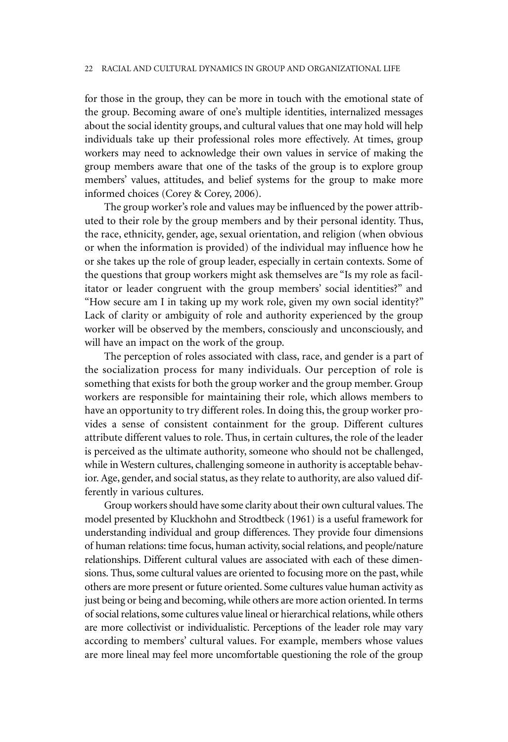for those in the group, they can be more in touch with the emotional state of the group. Becoming aware of one's multiple identities, internalized messages about the social identity groups, and cultural values that one may hold will help individuals take up their professional roles more effectively. At times, group workers may need to acknowledge their own values in service of making the group members aware that one of the tasks of the group is to explore group members' values, attitudes, and belief systems for the group to make more informed choices (Corey & Corey, 2006).

The group worker's role and values may be influenced by the power attributed to their role by the group members and by their personal identity. Thus, the race, ethnicity, gender, age, sexual orientation, and religion (when obvious or when the information is provided) of the individual may influence how he or she takes up the role of group leader, especially in certain contexts. Some of the questions that group workers might ask themselves are "Is my role as facilitator or leader congruent with the group members' social identities?" and "How secure am I in taking up my work role, given my own social identity?" Lack of clarity or ambiguity of role and authority experienced by the group worker will be observed by the members, consciously and unconsciously, and will have an impact on the work of the group.

The perception of roles associated with class, race, and gender is a part of the socialization process for many individuals. Our perception of role is something that exists for both the group worker and the group member. Group workers are responsible for maintaining their role, which allows members to have an opportunity to try different roles. In doing this, the group worker provides a sense of consistent containment for the group. Different cultures attribute different values to role. Thus, in certain cultures, the role of the leader is perceived as the ultimate authority, someone who should not be challenged, while in Western cultures, challenging someone in authority is acceptable behavior. Age, gender, and social status, as they relate to authority, are also valued differently in various cultures.

Group workers should have some clarity about their own cultural values. The model presented by Kluckhohn and Strodtbeck (1961) is a useful framework for understanding individual and group differences. They provide four dimensions of human relations: time focus, human activity,social relations, and people/nature relationships. Different cultural values are associated with each of these dimensions. Thus, some cultural values are oriented to focusing more on the past, while others are more present or future oriented. Some cultures value human activity as just being or being and becoming, while others are more action oriented. In terms of social relations, some cultures value lineal or hierarchical relations, while others are more collectivist or individualistic. Perceptions of the leader role may vary according to members' cultural values. For example, members whose values are more lineal may feel more uncomfortable questioning the role of the group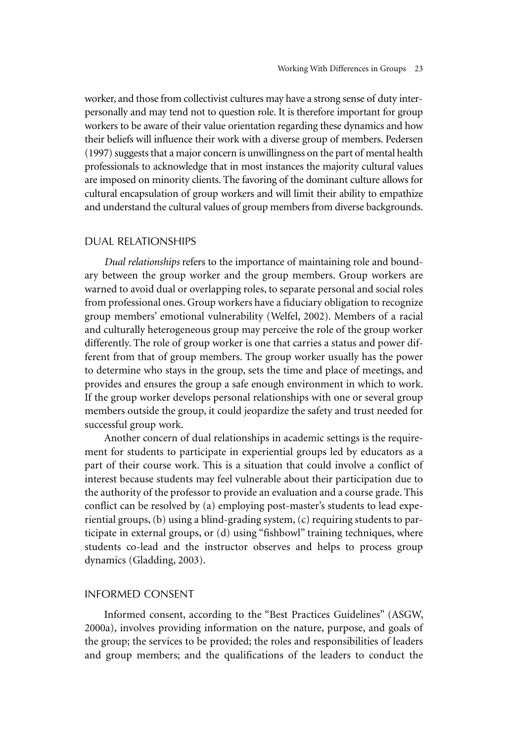worker, and those from collectivist cultures may have a strong sense of duty interpersonally and may tend not to question role. It is therefore important for group workers to be aware of their value orientation regarding these dynamics and how their beliefs will influence their work with a diverse group of members. Pedersen (1997) suggests that a major concern is unwillingness on the part of mental health professionals to acknowledge that in most instances the majority cultural values are imposed on minority clients. The favoring of the dominant culture allows for cultural encapsulation of group workers and will limit their ability to empathize and understand the cultural values of group members from diverse backgrounds.

#### DUAL RELATIONSHIPS

*Dual relationships* refers to the importance of maintaining role and boundary between the group worker and the group members. Group workers are warned to avoid dual or overlapping roles, to separate personal and social roles from professional ones. Group workers have a fiduciary obligation to recognize group members' emotional vulnerability (Welfel, 2002). Members of a racial and culturally heterogeneous group may perceive the role of the group worker differently. The role of group worker is one that carries a status and power different from that of group members. The group worker usually has the power to determine who stays in the group, sets the time and place of meetings, and provides and ensures the group a safe enough environment in which to work. If the group worker develops personal relationships with one or several group members outside the group, it could jeopardize the safety and trust needed for successful group work.

Another concern of dual relationships in academic settings is the requirement for students to participate in experiential groups led by educators as a part of their course work. This is a situation that could involve a conflict of interest because students may feel vulnerable about their participation due to the authority of the professor to provide an evaluation and a course grade. This conflict can be resolved by (a) employing post-master's students to lead experiential groups,(b) using a blind-grading system,(c) requiring students to participate in external groups, or (d) using "fishbowl" training techniques, where students co-lead and the instructor observes and helps to process group dynamics (Gladding, 2003).

#### INFORMED CONSENT

Informed consent, according to the "Best Practices Guidelines" (ASGW, 2000a), involves providing information on the nature, purpose, and goals of the group; the services to be provided; the roles and responsibilities of leaders and group members; and the qualifications of the leaders to conduct the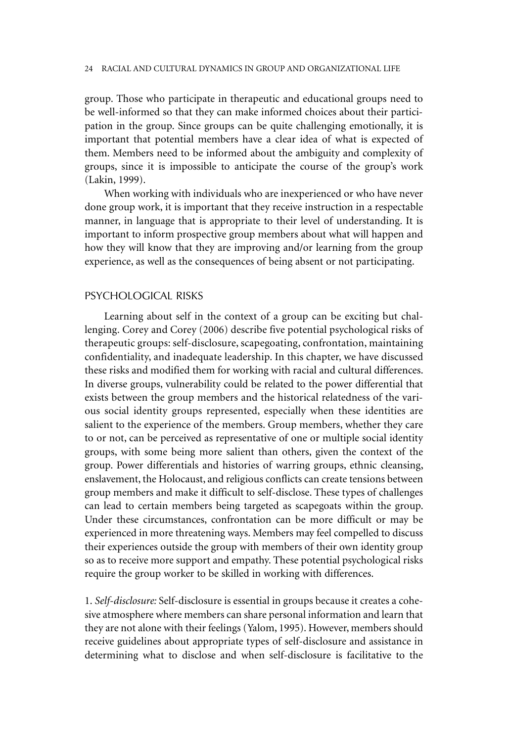group. Those who participate in therapeutic and educational groups need to be well-informed so that they can make informed choices about their participation in the group. Since groups can be quite challenging emotionally, it is important that potential members have a clear idea of what is expected of them. Members need to be informed about the ambiguity and complexity of groups, since it is impossible to anticipate the course of the group's work (Lakin, 1999).

When working with individuals who are inexperienced or who have never done group work, it is important that they receive instruction in a respectable manner, in language that is appropriate to their level of understanding. It is important to inform prospective group members about what will happen and how they will know that they are improving and/or learning from the group experience, as well as the consequences of being absent or not participating.

#### PSYCHOLOGICAL RISKS

Learning about self in the context of a group can be exciting but challenging. Corey and Corey (2006) describe five potential psychological risks of therapeutic groups: self-disclosure, scapegoating, confrontation, maintaining confidentiality, and inadequate leadership. In this chapter, we have discussed these risks and modified them for working with racial and cultural differences. In diverse groups, vulnerability could be related to the power differential that exists between the group members and the historical relatedness of the various social identity groups represented, especially when these identities are salient to the experience of the members. Group members, whether they care to or not, can be perceived as representative of one or multiple social identity groups, with some being more salient than others, given the context of the group. Power differentials and histories of warring groups, ethnic cleansing, enslavement, the Holocaust, and religious conflicts can create tensions between group members and make it difficult to self-disclose. These types of challenges can lead to certain members being targeted as scapegoats within the group. Under these circumstances, confrontation can be more difficult or may be experienced in more threatening ways. Members may feel compelled to discuss their experiences outside the group with members of their own identity group so as to receive more support and empathy. These potential psychological risks require the group worker to be skilled in working with differences.

1. *Self-disclosure:* Self-disclosure is essential in groups because it creates a cohesive atmosphere where members can share personal information and learn that they are not alone with their feelings (Yalom, 1995). However, members should receive guidelines about appropriate types of self-disclosure and assistance in determining what to disclose and when self-disclosure is facilitative to the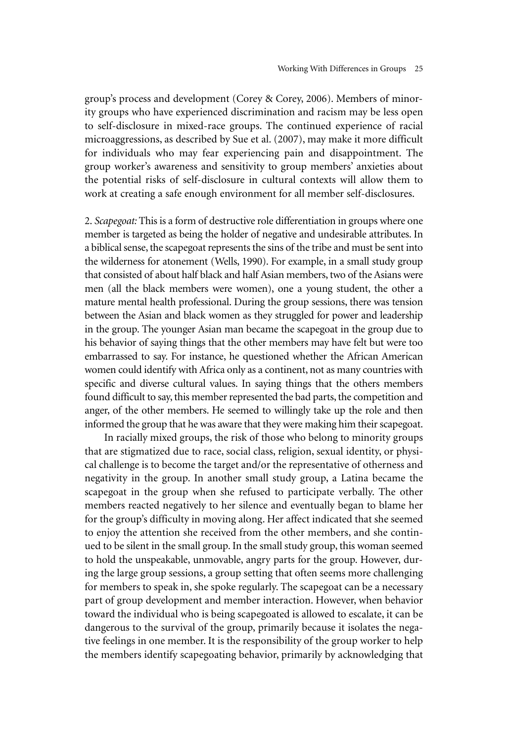group's process and development (Corey & Corey, 2006). Members of minority groups who have experienced discrimination and racism may be less open to self-disclosure in mixed-race groups. The continued experience of racial microaggressions, as described by Sue et al. (2007), may make it more difficult for individuals who may fear experiencing pain and disappointment. The group worker's awareness and sensitivity to group members' anxieties about the potential risks of self-disclosure in cultural contexts will allow them to work at creating a safe enough environment for all member self-disclosures.

2. *Scapegoat:* This is a form of destructive role differentiation in groups where one member is targeted as being the holder of negative and undesirable attributes. In a biblical sense, the scapegoat represents the sins of the tribe and must be sent into the wilderness for atonement (Wells, 1990). For example, in a small study group that consisted of about half black and half Asian members, two of the Asians were men (all the black members were women), one a young student, the other a mature mental health professional. During the group sessions, there was tension between the Asian and black women as they struggled for power and leadership in the group. The younger Asian man became the scapegoat in the group due to his behavior of saying things that the other members may have felt but were too embarrassed to say. For instance, he questioned whether the African American women could identify with Africa only as a continent, not as many countries with specific and diverse cultural values. In saying things that the others members found difficult to say, this member represented the bad parts, the competition and anger, of the other members. He seemed to willingly take up the role and then informed the group that he was aware that they were making him their scapegoat.

In racially mixed groups, the risk of those who belong to minority groups that are stigmatized due to race, social class, religion, sexual identity, or physical challenge is to become the target and/or the representative of otherness and negativity in the group. In another small study group, a Latina became the scapegoat in the group when she refused to participate verbally. The other members reacted negatively to her silence and eventually began to blame her for the group's difficulty in moving along. Her affect indicated that she seemed to enjoy the attention she received from the other members, and she continued to be silent in the small group. In the small study group, this woman seemed to hold the unspeakable, unmovable, angry parts for the group. However, during the large group sessions, a group setting that often seems more challenging for members to speak in, she spoke regularly. The scapegoat can be a necessary part of group development and member interaction. However, when behavior toward the individual who is being scapegoated is allowed to escalate, it can be dangerous to the survival of the group, primarily because it isolates the negative feelings in one member. It is the responsibility of the group worker to help the members identify scapegoating behavior, primarily by acknowledging that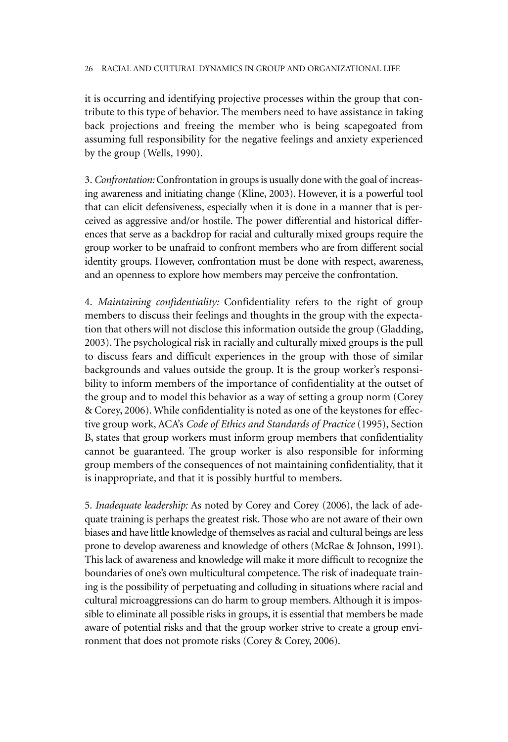#### 26—RACIAL AND CULTURAL DYNAMICS IN GROUP AND ORGANIZATIONAL LIFE

it is occurring and identifying projective processes within the group that contribute to this type of behavior. The members need to have assistance in taking back projections and freeing the member who is being scapegoated from assuming full responsibility for the negative feelings and anxiety experienced by the group (Wells, 1990).

3. *Confrontation:* Confrontation in groups is usually done with the goal of increasing awareness and initiating change (Kline, 2003). However, it is a powerful tool that can elicit defensiveness, especially when it is done in a manner that is perceived as aggressive and/or hostile. The power differential and historical differences that serve as a backdrop for racial and culturally mixed groups require the group worker to be unafraid to confront members who are from different social identity groups. However, confrontation must be done with respect, awareness, and an openness to explore how members may perceive the confrontation.

4. *Maintaining confidentiality:* Confidentiality refers to the right of group members to discuss their feelings and thoughts in the group with the expectation that others will not disclose this information outside the group (Gladding, 2003). The psychological risk in racially and culturally mixed groups is the pull to discuss fears and difficult experiences in the group with those of similar backgrounds and values outside the group. It is the group worker's responsibility to inform members of the importance of confidentiality at the outset of the group and to model this behavior as a way of setting a group norm (Corey & Corey, 2006). While confidentiality is noted as one of the keystones for effective group work, ACA's *Code of Ethics and Standards of Practice* (1995), Section B, states that group workers must inform group members that confidentiality cannot be guaranteed. The group worker is also responsible for informing group members of the consequences of not maintaining confidentiality, that it is inappropriate, and that it is possibly hurtful to members.

5. *Inadequate leadership:* As noted by Corey and Corey (2006), the lack of adequate training is perhaps the greatest risk. Those who are not aware of their own biases and have little knowledge of themselves as racial and cultural beings are less prone to develop awareness and knowledge of others (McRae & Johnson, 1991). This lack of awareness and knowledge will make it more difficult to recognize the boundaries of one's own multicultural competence. The risk of inadequate training is the possibility of perpetuating and colluding in situations where racial and cultural microaggressions can do harm to group members. Although it is impossible to eliminate all possible risks in groups, it is essential that members be made aware of potential risks and that the group worker strive to create a group environment that does not promote risks (Corey & Corey, 2006).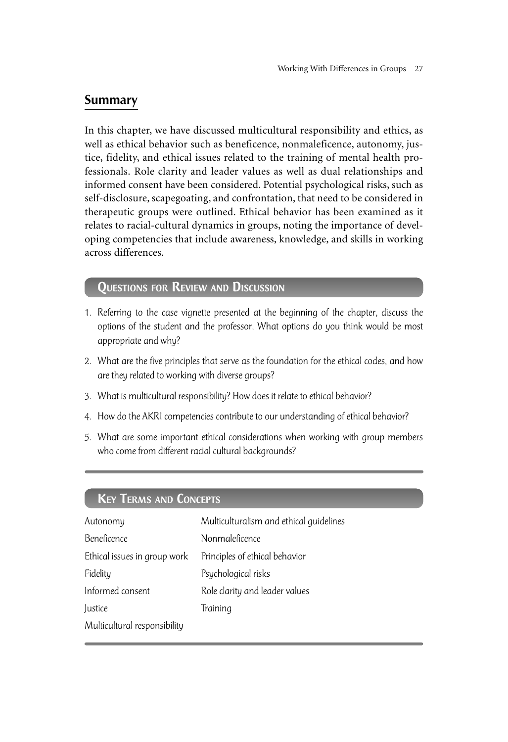# **Summary**

In this chapter, we have discussed multicultural responsibility and ethics, as well as ethical behavior such as beneficence, nonmaleficence, autonomy, justice, fidelity, and ethical issues related to the training of mental health professionals. Role clarity and leader values as well as dual relationships and informed consent have been considered. Potential psychological risks, such as self-disclosure, scapegoating, and confrontation, that need to be considered in therapeutic groups were outlined. Ethical behavior has been examined as it relates to racial-cultural dynamics in groups, noting the importance of developing competencies that include awareness, knowledge, and skills in working across differences.

### **QUESTIONS FOR REVIEW AND DISCUSSION**

- 1. Referring to the case vignette presented at the beginning of the chapter, discuss the options of the student and the professor. What options do you think would be most appropriate and why?
- 2. What are the five principles that serve as the foundation for the ethical codes, and how are they related to working with diverse groups?
- 3. What is multicultural responsibility? How does it relate to ethical behavior?
- 4. How do the AKRI competencies contribute to our understanding of ethical behavior?
- 5. What are some important ethical considerations when working with group members who come from different racial cultural backgrounds?

# **KEY TERMS AND CONCEPTS**

| Autonomy                     | Multiculturalism and ethical quidelines |
|------------------------------|-----------------------------------------|
| Beneficence                  | Nonmaleficence                          |
| Ethical issues in group work | Principles of ethical behavior          |
| Fidelity                     | Psychological risks                     |
| Informed consent             | Role clarity and leader values          |
| lustice                      | Training                                |
| Multicultural responsibility |                                         |
|                              |                                         |